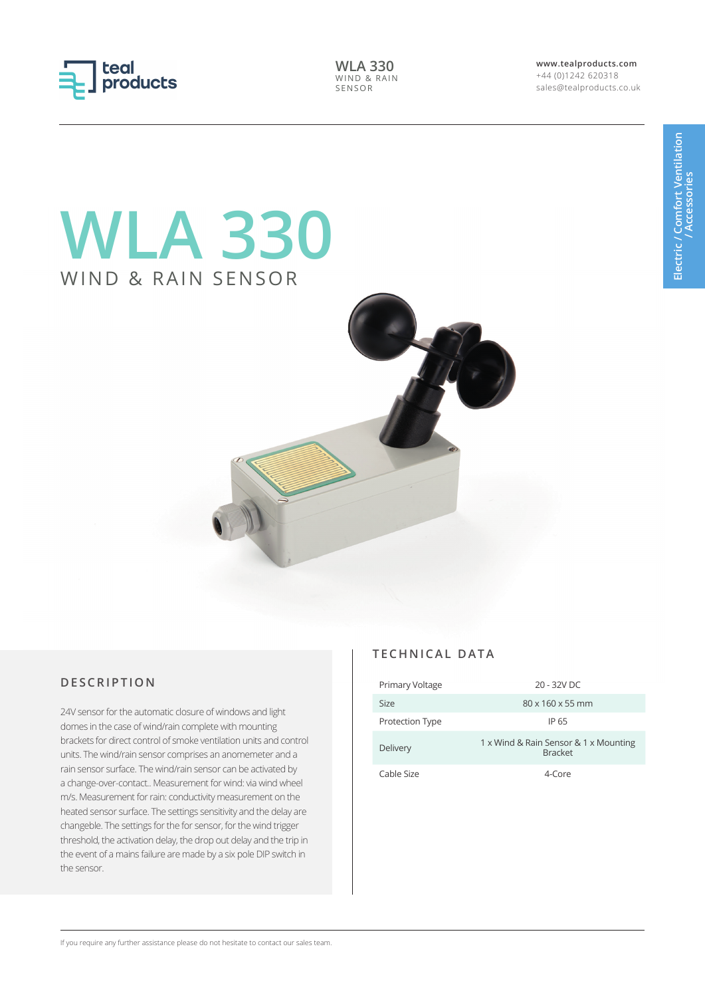

**WLA 330** WIND & RAIN SENSOR

**www.tealproducts.com** +44 (0)1242 620318 sales@tealproducts.co.uk

## **WLA 330** WIND & RAIN SENSOR



## **DESCRIPTION**

24V sensor for the automatic closure of windows and light domes in the case of wind/rain complete with mounting brackets for direct control of smoke ventilation units and control units. The wind/rain sensor comprises an anomemeter and a rain sensor surface. The wind/rain sensor can be activated by a change-over-contact.. Measurement for wind: via wind wheel m/s. Measurement for rain: conductivity measurement on the heated sensor surface. The settings sensitivity and the delay are changeble. The settings for the for sensor, for the wind trigger threshold, the activation delay, the drop out delay and the trip in the event of a mains failure are made by a six pole DIP switch in the sensor.

## **TECHNICAL DATA**

| Primary Voltage        | 20 - 32V DC                                             |
|------------------------|---------------------------------------------------------|
| Size                   | $80 \times 160 \times 55$ mm                            |
| <b>Protection Type</b> | IP 65                                                   |
| Delivery               | 1 x Wind & Rain Sensor & 1 x Mounting<br><b>Bracket</b> |
| Cable Size             | $4$ -Core                                               |